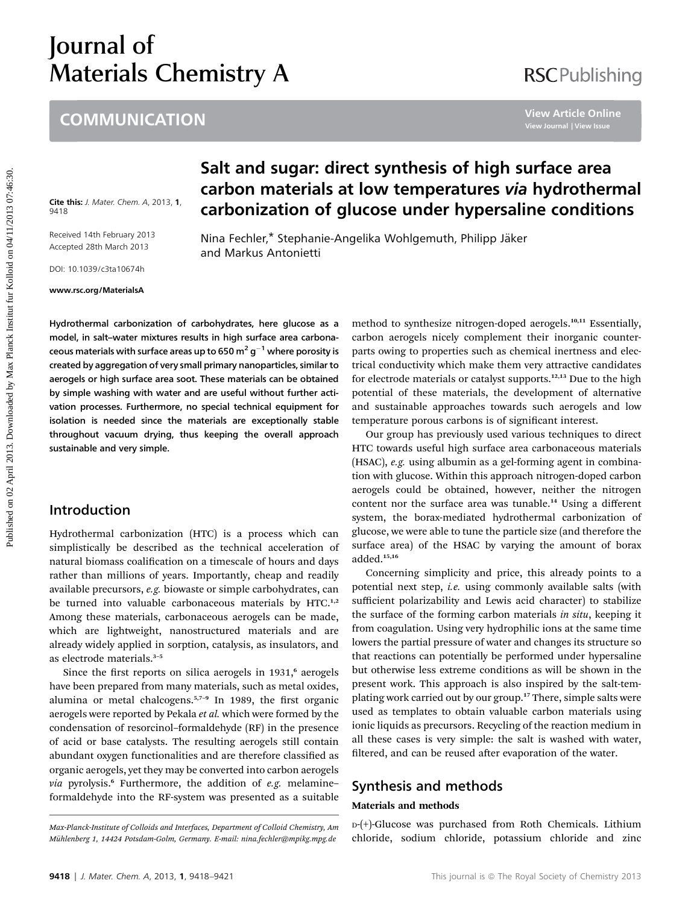# Journal of Materials Chemistry A

## **COMMUNICATION**

# **RSCPublishing**

Cite this: J. Mater. Chem. A, 2013, 1, 9418

Received 14th February 2013 Accepted 28th March 2013

DOI: 10.1039/c3ta10674h

www.rsc.org/MaterialsA

# Salt and sugar: direct synthesis of high surface area carbon materials at low temperatures via hydrothermal carbonization of glucose under hypersaline conditions

Nina Fechler,\* Stephanie-Angelika Wohlgemuth, Philipp Jäker and Markus Antonietti

Hydrothermal carbonization of carbohydrates, here glucose as a model, in salt–water mixtures results in high surface area carbonaceous materials with surface areas up to 650  $\mathrm{m}^2$  g<sup>-1</sup> where porosity is created by aggregation of very small primary nanoparticles, similar to aerogels or high surface area soot. These materials can be obtained by simple washing with water and are useful without further activation processes. Furthermore, no special technical equipment for isolation is needed since the materials are exceptionally stable throughout vacuum drying, thus keeping the overall approach sustainable and very simple. **EXAMPERTIATE COMMUNICATION**<br> **Salt and sugar: direct synthesis of high surface area<br>
article on 02 April 2013.<br>
This is a carbon materials at low temperatures via hydrotherm**<br>
This is a carbon materials at low temperature

#### Introduction

Hydrothermal carbonization (HTC) is a process which can simplistically be described as the technical acceleration of natural biomass coalification on a timescale of hours and days rather than millions of years. Importantly, cheap and readily available precursors, e.g. biowaste or simple carbohydrates, can be turned into valuable carbonaceous materials by HTC.<sup>1,2</sup> Among these materials, carbonaceous aerogels can be made, which are lightweight, nanostructured materials and are already widely applied in sorption, catalysis, as insulators, and as electrode materials.<sup>3</sup>–<sup>5</sup>

Since the first reports on silica aerogels in 1931,<sup>6</sup> aerogels have been prepared from many materials, such as metal oxides, alumina or metal chalcogens. $5,7-9$  In 1989, the first organic aerogels were reported by Pekala et al. which were formed by the condensation of resorcinol–formaldehyde (RF) in the presence of acid or base catalysts. The resulting aerogels still contain abundant oxygen functionalities and are therefore classified as organic aerogels, yet they may be converted into carbon aerogels via pyrolysis.<sup>6</sup> Furthermore, the addition of e.g. melamineformaldehyde into the RF-system was presented as a suitable method to synthesize nitrogen-doped aerogels.10,11 Essentially, carbon aerogels nicely complement their inorganic counterparts owing to properties such as chemical inertness and electrical conductivity which make them very attractive candidates for electrode materials or catalyst supports.<sup>12,13</sup> Due to the high potential of these materials, the development of alternative and sustainable approaches towards such aerogels and low temperature porous carbons is of significant interest.

Our group has previously used various techniques to direct HTC towards useful high surface area carbonaceous materials (HSAC), e.g. using albumin as a gel-forming agent in combination with glucose. Within this approach nitrogen-doped carbon aerogels could be obtained, however, neither the nitrogen content nor the surface area was tunable.<sup>14</sup> Using a different system, the borax-mediated hydrothermal carbonization of glucose, we were able to tune the particle size (and therefore the surface area) of the HSAC by varying the amount of borax added.15,16

Concerning simplicity and price, this already points to a potential next step, i.e. using commonly available salts (with sufficient polarizability and Lewis acid character) to stabilize the surface of the forming carbon materials in situ, keeping it from coagulation. Using very hydrophilic ions at the same time lowers the partial pressure of water and changes its structure so that reactions can potentially be performed under hypersaline but otherwise less extreme conditions as will be shown in the present work. This approach is also inspired by the salt-templating work carried out by our group.<sup>17</sup> There, simple salts were used as templates to obtain valuable carbon materials using ionic liquids as precursors. Recycling of the reaction medium in all these cases is very simple: the salt is washed with water, filtered, and can be reused after evaporation of the water.

#### Synthesis and methods

#### Materials and methods

D-(+)-Glucose was purchased from Roth Chemicals. Lithium chloride, sodium chloride, potassium chloride and zinc

Max-Planck-Institute of Colloids and Interfaces, Department of Colloid Chemistry, Am Muhlenberg 1, 14424 Potsdam-Golm, Germany. E-mail: nina.fechler@mpikg.mpg.de ¨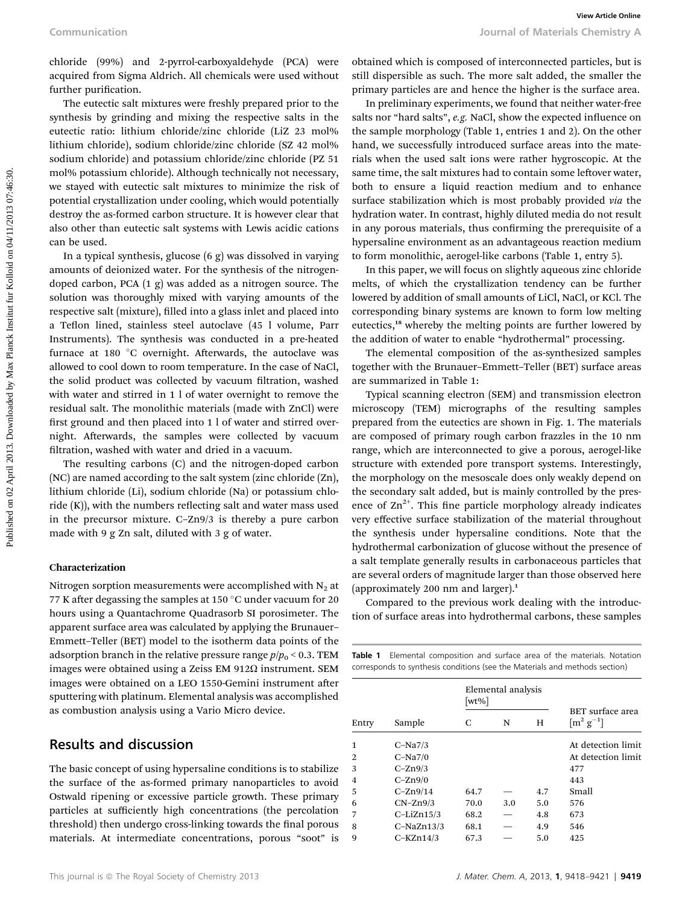chloride (99%) and 2-pyrrol-carboxyaldehyde (PCA) were acquired from Sigma Aldrich. All chemicals were used without further purification.

The eutectic salt mixtures were freshly prepared prior to the synthesis by grinding and mixing the respective salts in the eutectic ratio: lithium chloride/zinc chloride (LiZ 23 mol% lithium chloride), sodium chloride/zinc chloride (SZ 42 mol% sodium chloride) and potassium chloride/zinc chloride (PZ 51 mol% potassium chloride). Although technically not necessary, we stayed with eutectic salt mixtures to minimize the risk of potential crystallization under cooling, which would potentially destroy the as-formed carbon structure. It is however clear that also other than eutectic salt systems with Lewis acidic cations can be used.

In a typical synthesis, glucose (6 g) was dissolved in varying amounts of deionized water. For the synthesis of the nitrogendoped carbon, PCA (1 g) was added as a nitrogen source. The solution was thoroughly mixed with varying amounts of the respective salt (mixture), filled into a glass inlet and placed into a Teflon lined, stainless steel autoclave (45 l volume, Parr Instruments). The synthesis was conducted in a pre-heated furnace at 180 $\degree$ C overnight. Afterwards, the autoclave was allowed to cool down to room temperature. In the case of NaCl, the solid product was collected by vacuum filtration, washed with water and stirred in 1 l of water overnight to remove the residual salt. The monolithic materials (made with ZnCl) were first ground and then placed into 1 l of water and stirred overnight. Afterwards, the samples were collected by vacuum filtration, washed with water and dried in a vacuum. Communication Sources of the comparison of Maximilis Commission Commission Commission Commission Commission Commission Commission Commission Commission Commission Commission Commission Commission Commission Commission Com

The resulting carbons (C) and the nitrogen-doped carbon (NC) are named according to the salt system (zinc chloride (Zn), lithium chloride (Li), sodium chloride (Na) or potassium chloride  $(K)$ ), with the numbers reflecting salt and water mass used in the precursor mixture. C–Zn9/3 is thereby a pure carbon made with 9 g Zn salt, diluted with 3 g of water.

#### Characterization

Nitrogen sorption measurements were accomplished with  $N_2$  at 77 K after degassing the samples at 150  $^{\circ}$ C under vacuum for 20 hours using a Quantachrome Quadrasorb SI porosimeter. The apparent surface area was calculated by applying the Brunauer– Emmett–Teller (BET) model to the isotherm data points of the adsorption branch in the relative pressure range  $p/p_0 < 0.3$ . TEM images were obtained using a Zeiss EM 912 $\Omega$  instrument. SEM images were obtained on a LEO 1550-Gemini instrument after sputtering with platinum. Elemental analysis was accomplished as combustion analysis using a Vario Micro device.

#### Results and discussion

The basic concept of using hypersaline conditions is to stabilize the surface of the as-formed primary nanoparticles to avoid Ostwald ripening or excessive particle growth. These primary particles at sufficiently high concentrations (the percolation threshold) then undergo cross-linking towards the final porous materials. At intermediate concentrations, porous "soot" is

In preliminary experiments, we found that neither water-free salts nor "hard salts", e.g. NaCl, show the expected influence on the sample morphology (Table 1, entries 1 and 2). On the other hand, we successfully introduced surface areas into the materials when the used salt ions were rather hygroscopic. At the same time, the salt mixtures had to contain some leftover water, both to ensure a liquid reaction medium and to enhance surface stabilization which is most probably provided via the hydration water. In contrast, highly diluted media do not result in any porous materials, thus confirming the prerequisite of a hypersaline environment as an advantageous reaction medium to form monolithic, aerogel-like carbons (Table 1, entry 5).

In this paper, we will focus on slightly aqueous zinc chloride melts, of which the crystallization tendency can be further lowered by addition of small amounts of LiCl, NaCl, or KCl. The corresponding binary systems are known to form low melting eutectics,<sup>18</sup> whereby the melting points are further lowered by the addition of water to enable "hydrothermal" processing.

The elemental composition of the as-synthesized samples together with the Brunauer–Emmett–Teller (BET) surface areas are summarized in Table 1:

Typical scanning electron (SEM) and transmission electron microscopy (TEM) micrographs of the resulting samples prepared from the eutectics are shown in Fig. 1. The materials are composed of primary rough carbon frazzles in the 10 nm range, which are interconnected to give a porous, aerogel-like structure with extended pore transport systems. Interestingly, the morphology on the mesoscale does only weakly depend on the secondary salt added, but is mainly controlled by the presence of  $\text{Zn}^{2+}$ . This fine particle morphology already indicates very effective surface stabilization of the material throughout the synthesis under hypersaline conditions. Note that the hydrothermal carbonization of glucose without the presence of a salt template generally results in carbonaceous particles that are several orders of magnitude larger than those observed here (approximately 200 nm and larger).<sup>1</sup>

Compared to the previous work dealing with the introduction of surface areas into hydrothermal carbons, these samples

Table 1 Elemental composition and surface area of the materials. Notation corresponds to synthesis conditions (see the Materials and methods section)

| Entry          | Sample       | Elemental analysis<br>[wt%] |     |     |                                                |
|----------------|--------------|-----------------------------|-----|-----|------------------------------------------------|
|                |              | C                           | N   | н   | BET surface area<br>$\lceil m^2 g^{-1} \rceil$ |
| 1              | $C-Na7/3$    |                             |     |     | At detection limit                             |
| 2              | $C-Na7/0$    |                             |     |     | At detection limit                             |
| 3              | $C-Zn9/3$    |                             |     |     | 477                                            |
| $\overline{4}$ | $C-Zn9/0$    |                             |     |     | 443                                            |
| 5              | $C-Zn9/14$   | 64.7                        |     | 4.7 | Small                                          |
| 6              | $CN-Zn9/3$   | 70.0                        | 3.0 | 5.0 | 576                                            |
| 7              | $C-LiZn15/3$ | 68.2                        |     | 4.8 | 673                                            |
| 8              | $C-NaZn13/3$ | 68.1                        |     | 4.9 | 546                                            |
| 9              | $C-KZn14/3$  | 67.3                        |     | 5.0 | 425                                            |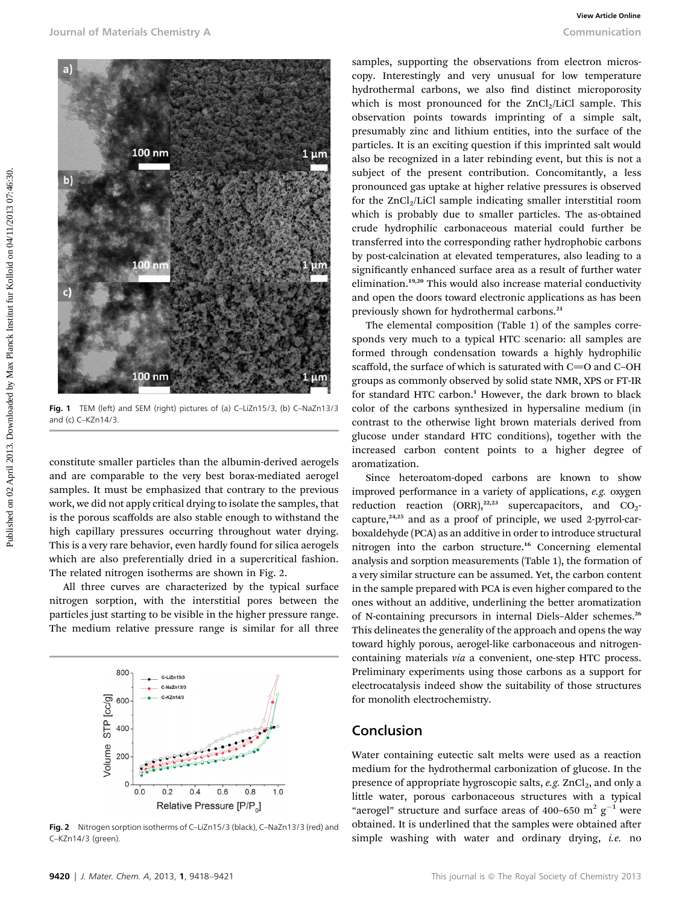

Fig. 1 TEM (left) and SEM (right) pictures of (a) C-LiZn15/3, (b) C-NaZn13/3 and (c) C–KZn14/3.

constitute smaller particles than the albumin-derived aerogels and are comparable to the very best borax-mediated aerogel samples. It must be emphasized that contrary to the previous work, we did not apply critical drying to isolate the samples, that is the porous scaffolds are also stable enough to withstand the high capillary pressures occurring throughout water drying. This is a very rare behavior, even hardly found for silica aerogels which are also preferentially dried in a supercritical fashion. The related nitrogen isotherms are shown in Fig. 2.

All three curves are characterized by the typical surface nitrogen sorption, with the interstitial pores between the particles just starting to be visible in the higher pressure range. The medium relative pressure range is similar for all three



Fig. 2 Nitrogen sorption isotherms of C-LiZn15/3 (black), C-NaZn13/3 (red) and C–KZn14/3 (green).

samples, supporting the observations from electron microscopy. Interestingly and very unusual for low temperature hydrothermal carbons, we also find distinct microporosity which is most pronounced for the  $ZnCl<sub>2</sub>/LiCl$  sample. This observation points towards imprinting of a simple salt, presumably zinc and lithium entities, into the surface of the particles. It is an exciting question if this imprinted salt would also be recognized in a later rebinding event, but this is not a subject of the present contribution. Concomitantly, a less pronounced gas uptake at higher relative pressures is observed for the  $ZnCl<sub>2</sub>/LiCl$  sample indicating smaller interstitial room which is probably due to smaller particles. The as-obtained crude hydrophilic carbonaceous material could further be transferred into the corresponding rather hydrophobic carbons by post-calcination at elevated temperatures, also leading to a significantly enhanced surface area as a result of further water elimination.<sup>19,20</sup> This would also increase material conductivity and open the doors toward electronic applications as has been previously shown for hydrothermal carbons.<sup>21</sup>

The elemental composition (Table 1) of the samples corresponds very much to a typical HTC scenario: all samples are formed through condensation towards a highly hydrophilic scaffold, the surface of which is saturated with  $C=O$  and  $C-OH$ groups as commonly observed by solid state NMR, XPS or FT-IR for standard HTC carbon.<sup>1</sup> However, the dark brown to black color of the carbons synthesized in hypersaline medium (in contrast to the otherwise light brown materials derived from glucose under standard HTC conditions), together with the increased carbon content points to a higher degree of aromatization.

Since heteroatom-doped carbons are known to show improved performance in a variety of applications, e.g. oxygen reduction reaction  $(ORR)$ ,<sup>22,23</sup> supercapacitors, and  $CO<sub>2</sub>$ capture,<sup>24,25</sup> and as a proof of principle, we used 2-pyrrol-carboxaldehyde (PCA) as an additive in order to introduce structural nitrogen into the carbon structure.<sup>16</sup> Concerning elemental analysis and sorption measurements (Table 1), the formation of a very similar structure can be assumed. Yet, the carbon content in the sample prepared with PCA is even higher compared to the ones without an additive, underlining the better aromatization of N-containing precursors in internal Diels–Alder schemes.<sup>26</sup> This delineates the generality of the approach and opens the way toward highly porous, aerogel-like carbonaceous and nitrogencontaining materials via a convenient, one-step HTC process. Preliminary experiments using those carbons as a support for electrocatalysis indeed show the suitability of those structures for monolith electrochemistry.

#### Conclusion

Water containing eutectic salt melts were used as a reaction medium for the hydrothermal carbonization of glucose. In the presence of appropriate hygroscopic salts,  $e.g.$  ZnCl<sub>2</sub>, and only a little water, porous carbonaceous structures with a typical "aerogel" structure and surface areas of 400–650  $\text{m}^2$  g<sup>-1</sup> were obtained. It is underlined that the samples were obtained after simple washing with water and ordinary drying, i.e. no